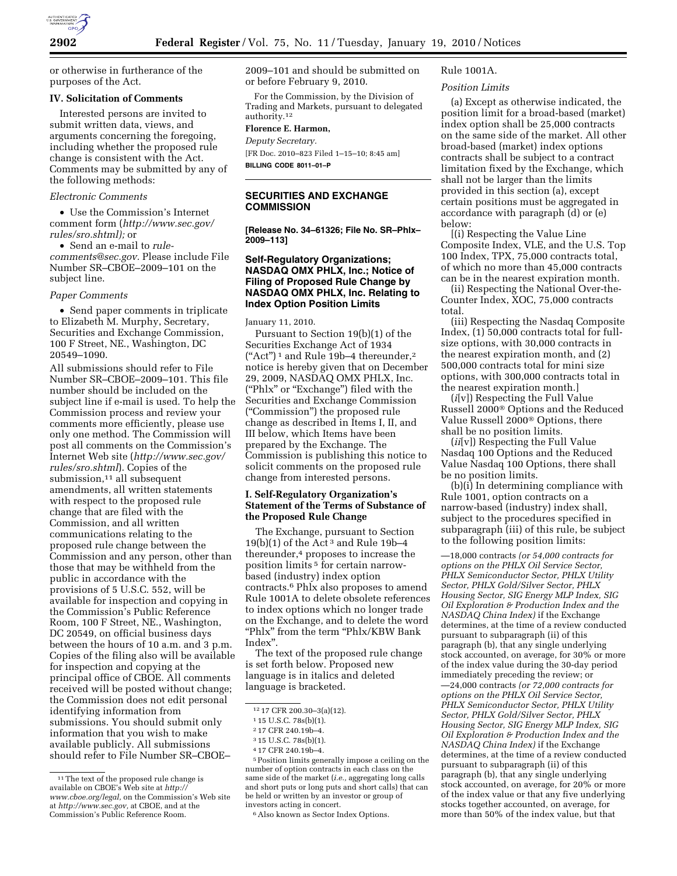or otherwise in furtherance of the purposes of the Act.

#### **IV. Solicitation of Comments**

Interested persons are invited to submit written data, views, and arguments concerning the foregoing, including whether the proposed rule change is consistent with the Act. Comments may be submitted by any of the following methods:

#### *Electronic Comments*

• Use the Commission's Internet comment form (*http://www.sec.gov/ rules/sro.shtml);* or

• Send an e-mail to *rulecomments@sec.gov.* Please include File Number SR–CBOE–2009–101 on the subject line.

#### *Paper Comments*

• Send paper comments in triplicate to Elizabeth M. Murphy, Secretary, Securities and Exchange Commission, 100 F Street, NE., Washington, DC 20549–1090.

All submissions should refer to File Number SR–CBOE–2009–101. This file number should be included on the subject line if e-mail is used. To help the Commission process and review your comments more efficiently, please use only one method. The Commission will post all comments on the Commission's Internet Web site (*http://www.sec.gov/ rules/sro.shtml*). Copies of the submission,<sup>11</sup> all subsequent amendments, all written statements with respect to the proposed rule change that are filed with the Commission, and all written communications relating to the proposed rule change between the Commission and any person, other than those that may be withheld from the public in accordance with the provisions of 5 U.S.C. 552, will be available for inspection and copying in the Commission's Public Reference Room, 100 F Street, NE., Washington, DC 20549, on official business days between the hours of 10 a.m. and 3 p.m. Copies of the filing also will be available for inspection and copying at the principal office of CBOE. All comments received will be posted without change; the Commission does not edit personal identifying information from submissions. You should submit only information that you wish to make available publicly. All submissions should refer to File Number SR–CBOE–

2009–101 and should be submitted on or before February 9, 2010.

For the Commission, by the Division of Trading and Markets, pursuant to delegated authority.12

#### **Florence E. Harmon,**  *Deputy Secretary.*

[FR Doc. 2010–823 Filed 1–15–10; 8:45 am] **BILLING CODE 8011–01–P** 

## **SECURITIES AND EXCHANGE COMMISSION**

**[Release No. 34–61326; File No. SR–Phlx– 2009–113]** 

## **Self-Regulatory Organizations; NASDAQ OMX PHLX, Inc.; Notice of Filing of Proposed Rule Change by NASDAQ OMX PHLX, Inc. Relating to Index Option Position Limits**

#### January 11, 2010.

Pursuant to Section 19(b)(1) of the Securities Exchange Act of 1934  $("Act")^1$  and Rule 19b-4 thereunder,<sup>2</sup> notice is hereby given that on December 29, 2009, NASDAQ OMX PHLX, Inc. (''Phlx'' or ''Exchange'') filed with the Securities and Exchange Commission (''Commission'') the proposed rule change as described in Items I, II, and III below, which Items have been prepared by the Exchange. The Commission is publishing this notice to solicit comments on the proposed rule change from interested persons.

## **I. Self-Regulatory Organization's Statement of the Terms of Substance of the Proposed Rule Change**

The Exchange, pursuant to Section 19(b)(1) of the Act<sup>3</sup> and Rule 19b-4 thereunder,4 proposes to increase the position limits 5 for certain narrowbased (industry) index option contracts.6 Phlx also proposes to amend Rule 1001A to delete obsolete references to index options which no longer trade on the Exchange, and to delete the word "Phlx" from the term "Phlx/KBW Bank Index''.

The text of the proposed rule change is set forth below. Proposed new language is in italics and deleted language is bracketed.

5Position limits generally impose a ceiling on the number of option contracts in each class on the same side of the market (*i.e.,* aggregating long calls and short puts or long puts and short calls) that can be held or written by an investor or group of investors acting in concert.

#### 6Also known as Sector Index Options.

# Rule 1001A.

# *Position Limits*

(a) Except as otherwise indicated, the position limit for a broad-based (market) index option shall be 25,000 contracts on the same side of the market. All other broad-based (market) index options contracts shall be subject to a contract limitation fixed by the Exchange, which shall not be larger than the limits provided in this section (a), except certain positions must be aggregated in accordance with paragraph (d) or (e) below:

[(i) Respecting the Value Line Composite Index, VLE, and the U.S. Top 100 Index, TPX, 75,000 contracts total, of which no more than 45,000 contracts can be in the nearest expiration month.

(ii) Respecting the National Over-the-Counter Index, XOC, 75,000 contracts total.

(iii) Respecting the Nasdaq Composite Index, (1) 50,000 contracts total for fullsize options, with 30,000 contracts in the nearest expiration month, and (2) 500,000 contracts total for mini size options, with 300,000 contracts total in the nearest expiration month.]

(*i*[v]) Respecting the Full Value Russell 2000® Options and the Reduced Value Russell 2000® Options, there shall be no position limits.

(*ii*[v]) Respecting the Full Value Nasdaq 100 Options and the Reduced Value Nasdaq 100 Options, there shall be no position limits.

(b)(i) In determining compliance with Rule 1001, option contracts on a narrow-based (industry) index shall, subject to the procedures specified in subparagraph (iii) of this rule, be subject to the following position limits:

—18,000 contracts *(or 54,000 contracts for options on the PHLX Oil Service Sector, PHLX Semiconductor Sector, PHLX Utility Sector, PHLX Gold/Silver Sector, PHLX Housing Sector, SIG Energy MLP Index, SIG Oil Exploration & Production Index and the NASDAQ China Index)* if the Exchange determines, at the time of a review conducted pursuant to subparagraph (ii) of this paragraph (b), that any single underlying stock accounted, on average, for 30% or more of the index value during the 30-day period immediately preceding the review; or —24,000 contracts *(or 72,000 contracts for options on the PHLX Oil Service Sector, PHLX Semiconductor Sector, PHLX Utility Sector, PHLX Gold/Silver Sector, PHLX Housing Sector, SIG Energy MLP Index, SIG Oil Exploration & Production Index and the NASDAQ China Index)* if the Exchange determines, at the time of a review conducted pursuant to subparagraph (ii) of this paragraph (b), that any single underlying stock accounted, on average, for 20% or more of the index value or that any five underlying stocks together accounted, on average, for more than 50% of the index value, but that

<sup>&</sup>lt;sup>11</sup>The text of the proposed rule change is available on CBOE's Web site at *http:// www.cboe.org/legal,* on the Commission's Web site at *http://www.sec.gov,* at CBOE, and at the Commission's Public Reference Room.

<sup>12</sup> 17 CFR 200.30–3(a)(12).

<sup>1</sup> 15 U.S.C. 78s(b)(1).

<sup>2</sup> 17 CFR 240.19b–4.

<sup>3</sup> 15 U.S.C. 78s(b)(1).

<sup>4</sup> 17 CFR 240.19b–4.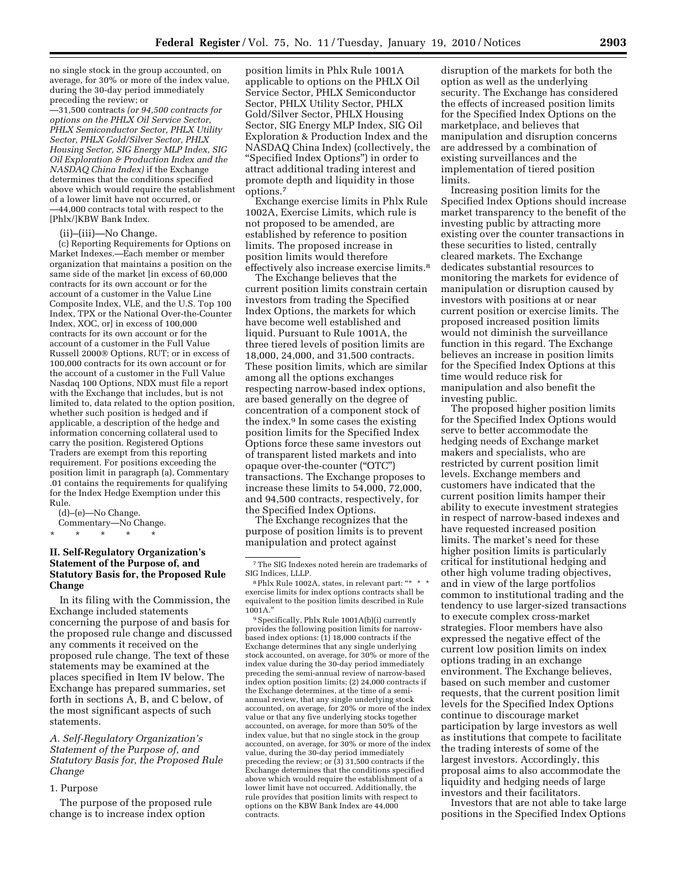no single stock in the group accounted, on average, for 30% or more of the index value, during the 30-day period immediately preceding the review; or

—31,500 contracts *(or 94,500 contracts for options on the PHLX Oil Service Sector, PHLX Semiconductor Sector, PHLX Utility Sector, PHLX Gold/Silver Sector, PHLX Housing Sector, SIG Energy MLP Index, SIG Oil Exploration & Production Index and the NASDAQ China Index)* if the Exchange determines that the conditions specified above which would require the establishment of a lower limit have not occurred, or

—44,000 contracts total with respect to the [Phlx/]KBW Bank Index.

(ii)–(iii)—No Change.

(c) Reporting Requirements for Options on Market Indexes.—Each member or member organization that maintains a position on the same side of the market [in excess of 60,000 contracts for its own account or for the account of a customer in the Value Line Composite Index, VLE, and the U.S. Top 100 Index, TPX or the National Over-the-Counter Index, XOC, or] in excess of 100,000 contracts for its own account or for the account of a customer in the Full Value Russell 2000® Options, RUT; or in excess of 100,000 contracts for its own account or for the account of a customer in the Full Value Nasdaq 100 Options, NDX must file a report with the Exchange that includes, but is not limited to, data related to the option position, whether such position is hedged and if applicable, a description of the hedge and information concerning collateral used to carry the position. Registered Options Traders are exempt from this reporting requirement. For positions exceeding the position limit in paragraph (a), Commentary .01 contains the requirements for qualifying for the Index Hedge Exemption under this Rule.

(d)–(e)—No Change. Commentary—No Change. \* \* \* \* \*

# **II. Self-Regulatory Organization's Statement of the Purpose of, and Statutory Basis for, the Proposed Rule Change**

In its filing with the Commission, the Exchange included statements concerning the purpose of and basis for the proposed rule change and discussed any comments it received on the proposed rule change. The text of these statements may be examined at the places specified in Item IV below. The Exchange has prepared summaries, set forth in sections A, B, and C below, of the most significant aspects of such statements.

## *A. Self-Regulatory Organization's Statement of the Purpose of, and Statutory Basis for, the Proposed Rule Change*

#### 1. Purpose

The purpose of the proposed rule change is to increase index option

position limits in Phlx Rule 1001A applicable to options on the PHLX Oil Service Sector, PHLX Semiconductor Sector, PHLX Utility Sector, PHLX Gold/Silver Sector, PHLX Housing Sector, SIG Energy MLP Index, SIG Oil Exploration & Production Index and the NASDAQ China Index) (collectively, the ''Specified Index Options'') in order to attract additional trading interest and promote depth and liquidity in those options.7

Exchange exercise limits in Phlx Rule 1002A, Exercise Limits, which rule is not proposed to be amended, are established by reference to position limits. The proposed increase in position limits would therefore effectively also increase exercise limits.8

The Exchange believes that the current position limits constrain certain investors from trading the Specified Index Options, the markets for which have become well established and liquid. Pursuant to Rule 1001A, the three tiered levels of position limits are 18,000, 24,000, and 31,500 contracts. These position limits, which are similar among all the options exchanges respecting narrow-based index options, are based generally on the degree of concentration of a component stock of the index.9 In some cases the existing position limits for the Specified Index Options force these same investors out of transparent listed markets and into opaque over-the-counter (''OTC'') transactions. The Exchange proposes to increase these limits to 54,000, 72,000, and 94,500 contracts, respectively, for the Specified Index Options.

The Exchange recognizes that the purpose of position limits is to prevent manipulation and protect against

9Specifically, Phlx Rule 1001A(b)(i) currently provides the following position limits for narrowbased index options: (1) 18,000 contracts if the Exchange determines that any single underlying stock accounted, on average, for 30% or more of the index value during the 30-day period immediately preceding the semi-annual review of narrow-based index option position limits; (2) 24,000 contracts if the Exchange determines, at the time of a semiannual review, that any single underlying stock accounted, on average, for 20% or more of the index value or that any five underlying stocks together accounted, on average, for more than 50% of the index value, but that no single stock in the group accounted, on average, for 30% or more of the index value, during the 30-day period immediately preceding the review; or (3) 31,500 contracts if the Exchange determines that the conditions specified above which would require the establishment of a lower limit have not occurred. Additionally, the rule provides that position limits with respect to options on the KBW Bank Index are 44,000 contracts.

disruption of the markets for both the option as well as the underlying security. The Exchange has considered the effects of increased position limits for the Specified Index Options on the marketplace, and believes that manipulation and disruption concerns are addressed by a combination of existing surveillances and the implementation of tiered position limits.

Increasing position limits for the Specified Index Options should increase market transparency to the benefit of the investing public by attracting more existing over the counter transactions in these securities to listed, centrally cleared markets. The Exchange dedicates substantial resources to monitoring the markets for evidence of manipulation or disruption caused by investors with positions at or near current position or exercise limits. The proposed increased position limits would not diminish the surveillance function in this regard. The Exchange believes an increase in position limits for the Specified Index Options at this time would reduce risk for manipulation and also benefit the investing public.

The proposed higher position limits for the Specified Index Options would serve to better accommodate the hedging needs of Exchange market makers and specialists, who are restricted by current position limit levels. Exchange members and customers have indicated that the current position limits hamper their ability to execute investment strategies in respect of narrow-based indexes and have requested increased position limits. The market's need for these higher position limits is particularly critical for institutional hedging and other high volume trading objectives, and in view of the large portfolios common to institutional trading and the tendency to use larger-sized transactions to execute complex cross-market strategies. Floor members have also expressed the negative effect of the current low position limits on index options trading in an exchange environment. The Exchange believes, based on such member and customer requests, that the current position limit levels for the Specified Index Options continue to discourage market participation by large investors as well as institutions that compete to facilitate the trading interests of some of the largest investors. Accordingly, this proposal aims to also accommodate the liquidity and hedging needs of large investors and their facilitators.

Investors that are not able to take large positions in the Specified Index Options

 $\sqrt[7]{\text{The SIG Indexes noted herein are trademarks of}}$ SIG Indices, LLLP.

<sup>&</sup>lt;sup>8</sup> Phlx Rule 1002A, states, in relevant part: "\* \* \* exercise limits for index options contracts shall be equivalent to the position limits described in Rule 1001A.''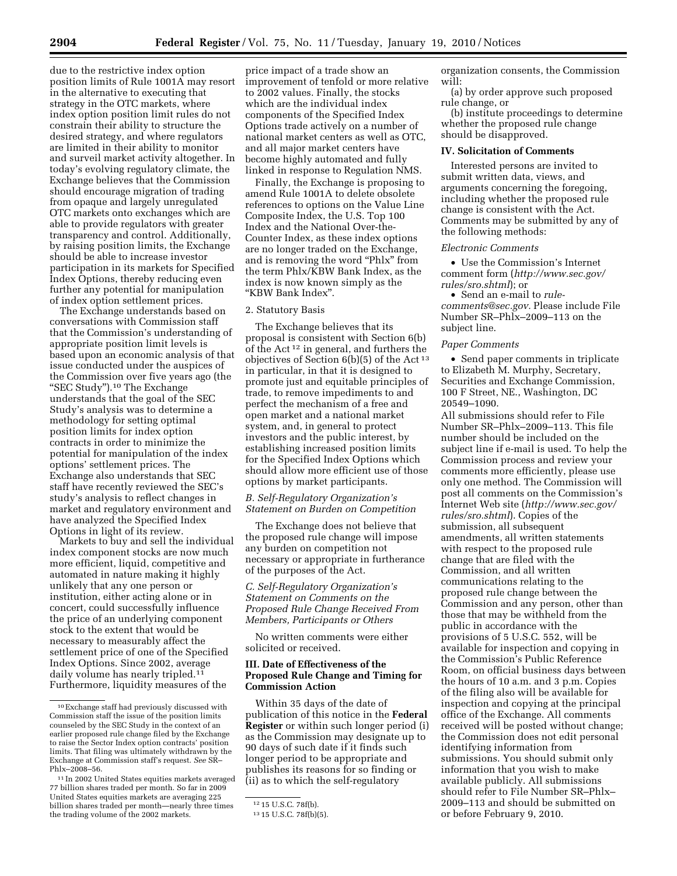due to the restrictive index option position limits of Rule 1001A may resort in the alternative to executing that strategy in the OTC markets, where index option position limit rules do not constrain their ability to structure the desired strategy, and where regulators are limited in their ability to monitor and surveil market activity altogether. In today's evolving regulatory climate, the Exchange believes that the Commission should encourage migration of trading from opaque and largely unregulated OTC markets onto exchanges which are able to provide regulators with greater transparency and control. Additionally, by raising position limits, the Exchange should be able to increase investor participation in its markets for Specified Index Options, thereby reducing even further any potential for manipulation of index option settlement prices.

The Exchange understands based on conversations with Commission staff that the Commission's understanding of appropriate position limit levels is based upon an economic analysis of that issue conducted under the auspices of the Commission over five years ago (the ''SEC Study'').10 The Exchange understands that the goal of the SEC Study's analysis was to determine a methodology for setting optimal position limits for index option contracts in order to minimize the potential for manipulation of the index options' settlement prices. The Exchange also understands that SEC staff have recently reviewed the SEC's study's analysis to reflect changes in market and regulatory environment and have analyzed the Specified Index Options in light of its review.

Markets to buy and sell the individual index component stocks are now much more efficient, liquid, competitive and automated in nature making it highly unlikely that any one person or institution, either acting alone or in concert, could successfully influence the price of an underlying component stock to the extent that would be necessary to measurably affect the settlement price of one of the Specified Index Options. Since 2002, average daily volume has nearly tripled.11 Furthermore, liquidity measures of the

price impact of a trade show an improvement of tenfold or more relative to 2002 values. Finally, the stocks which are the individual index components of the Specified Index Options trade actively on a number of national market centers as well as OTC, and all major market centers have become highly automated and fully linked in response to Regulation NMS.

Finally, the Exchange is proposing to amend Rule 1001A to delete obsolete references to options on the Value Line Composite Index, the U.S. Top 100 Index and the National Over-the-Counter Index, as these index options are no longer traded on the Exchange, and is removing the word ''Phlx'' from the term Phlx/KBW Bank Index, as the index is now known simply as the ''KBW Bank Index''.

#### 2. Statutory Basis

The Exchange believes that its proposal is consistent with Section 6(b) of the Act 12 in general, and furthers the objectives of Section 6(b)(5) of the Act 13 in particular, in that it is designed to promote just and equitable principles of trade, to remove impediments to and perfect the mechanism of a free and open market and a national market system, and, in general to protect investors and the public interest, by establishing increased position limits for the Specified Index Options which should allow more efficient use of those options by market participants.

#### *B. Self-Regulatory Organization's Statement on Burden on Competition*

The Exchange does not believe that the proposed rule change will impose any burden on competition not necessary or appropriate in furtherance of the purposes of the Act.

*C. Self-Regulatory Organization's Statement on Comments on the Proposed Rule Change Received From Members, Participants or Others* 

No written comments were either solicited or received.

## **III. Date of Effectiveness of the Proposed Rule Change and Timing for Commission Action**

Within 35 days of the date of publication of this notice in the **Federal Register** or within such longer period (i) as the Commission may designate up to 90 days of such date if it finds such longer period to be appropriate and publishes its reasons for so finding or (ii) as to which the self-regulatory

organization consents, the Commission will:

(a) by order approve such proposed rule change, or

(b) institute proceedings to determine whether the proposed rule change should be disapproved.

## **IV. Solicitation of Comments**

Interested persons are invited to submit written data, views, and arguments concerning the foregoing, including whether the proposed rule change is consistent with the Act. Comments may be submitted by any of the following methods:

#### *Electronic Comments*

• Use the Commission's Internet comment form (*http://www.sec.gov/ rules/sro.shtml*); or

• Send an e-mail to *rulecomments@sec.gov.* Please include File Number SR–Phlx–2009–113 on the subject line.

#### *Paper Comments*

• Send paper comments in triplicate to Elizabeth M. Murphy, Secretary, Securities and Exchange Commission, 100 F Street, NE., Washington, DC 20549–1090.

All submissions should refer to File Number SR–Phlx–2009–113. This file number should be included on the subject line if e-mail is used. To help the Commission process and review your comments more efficiently, please use only one method. The Commission will post all comments on the Commission's Internet Web site (*http://www.sec.gov/ rules/sro.shtml*). Copies of the submission, all subsequent amendments, all written statements with respect to the proposed rule change that are filed with the Commission, and all written communications relating to the proposed rule change between the Commission and any person, other than those that may be withheld from the public in accordance with the provisions of 5 U.S.C. 552, will be available for inspection and copying in the Commission's Public Reference Room, on official business days between the hours of 10 a.m. and 3 p.m. Copies of the filing also will be available for inspection and copying at the principal office of the Exchange. All comments received will be posted without change; the Commission does not edit personal identifying information from submissions. You should submit only information that you wish to make available publicly. All submissions should refer to File Number SR–Phlx– 2009–113 and should be submitted on or before February 9, 2010.

<sup>10</sup>Exchange staff had previously discussed with Commission staff the issue of the position limits counseled by the SEC Study in the context of an earlier proposed rule change filed by the Exchange to raise the Sector Index option contracts' position limits. That filing was ultimately withdrawn by the Exchange at Commission staff's request. *See* SR– Phlx–2008–56.

<sup>11</sup> In 2002 United States equities markets averaged 77 billion shares traded per month. So far in 2009 United States equities markets are averaging 225 billion shares traded per month—nearly three times the trading volume of the 2002 markets.

<sup>12</sup> 15 U.S.C. 78f(b).

<sup>13</sup> 15 U.S.C. 78f(b)(5).